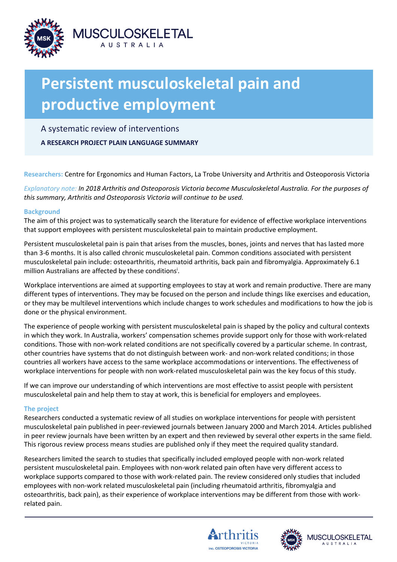

# **Persistent musculoskeletal pain and productive employment**

A systematic review of interventions

**A RESEARCH PROJECT PLAIN LANGUAGE SUMMARY**

**Researchers:** Centre for Ergonomics and Human Factors, La Trobe University and Arthritis and Osteoporosis Victoria

*Explanatory note: In 2018 Arthritis and Osteoporosis Victoria become Musculoskeletal Australia. For the purposes of this summary, Arthritis and Osteoporosis Victoria will continue to be used.* 

## **Background**

The aim of this project was to systematically search the literature for evidence of effective workplace interventions that support employees with persistent musculoskeletal pain to maintain productive employment.

Persistent musculoskeletal pain is pain that arises from the muscles, bones, joints and nerves that has lasted more than 3-6 months. It is also called chronic musculoskeletal pain. Common conditions associated with persistent musculoskeletal pain include: osteoarthritis, rheumatoid arthritis, back pain and fibromyalgia. Approximately 6.1 million Australians are affected by these conditions<sup>i</sup>.

Workplace interventions are aimed at supporting employees to stay at work and remain productive. There are many different types of interventions. They may be focused on the person and include things like exercises and education, or they may be multilevel interventions which include changes to work schedules and modifications to how the job is done or the physical environment.

The experience of people working with persistent musculoskeletal pain is shaped by the policy and cultural contexts in which they work. In Australia, workers' compensation schemes provide support only for those with work-related conditions. Those with non-work related conditions are not specifically covered by a particular scheme. In contrast, other countries have systems that do not distinguish between work- and non-work related conditions; in those countries all workers have access to the same workplace accommodations or interventions. The effectiveness of workplace interventions for people with non work-related musculoskeletal pain was the key focus of this study.

If we can improve our understanding of which interventions are most effective to assist people with persistent musculoskeletal pain and help them to stay at work, this is beneficial for employers and employees.

# **The project**

Researchers conducted a systematic review of all studies on workplace interventions for people with persistent musculoskeletal pain published in peer-reviewed journals between January 2000 and March 2014. Articles published in peer review journals have been written by an expert and then reviewed by several other experts in the same field. This rigorous review process means studies are published only if they meet the required quality standard.

Researchers limited the search to studies that specifically included employed people with non-work related persistent musculoskeletal pain. Employees with non-work related pain often have very different access to workplace supports compared to those with work-related pain. The review considered only studies that included employees with non-work related musculoskeletal pain (including rheumatoid arthritis, fibromyalgia and osteoarthritis, back pain), as their experience of workplace interventions may be different from those with workrelated pain.





JSCULOSKELETAL